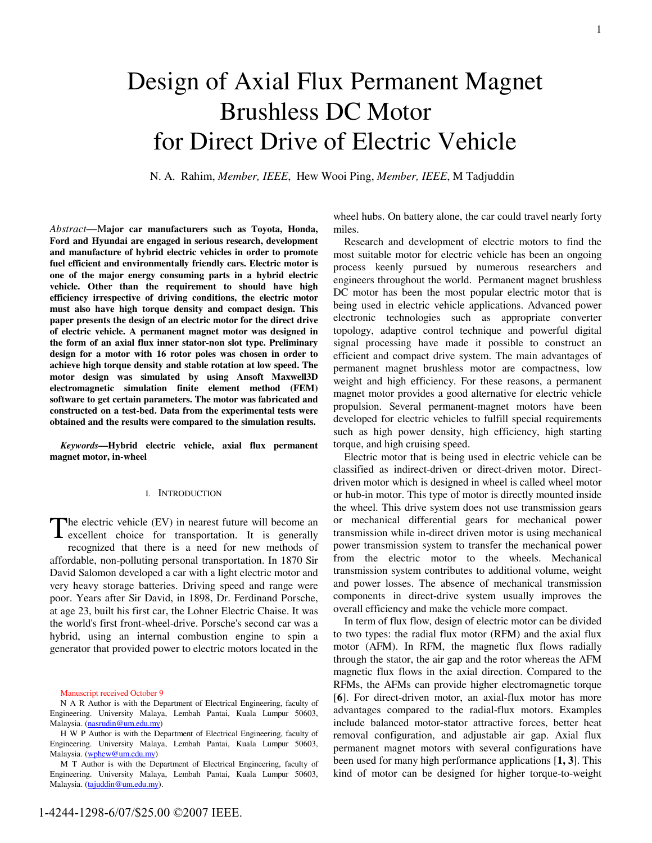# Design of Axial Flux Permanent Magnet Brushless DC Motor for Direct Drive of Electric Vehicle

N. A. Rahim, *Member, IEEE*, Hew Wooi Ping, *Member, IEEE*, M Tadjuddin

*Abstract*—M**ajor car manufacturers such as Toyota, Honda, Ford and Hyundai are engaged in serious research, development and manufacture of hybrid electric vehicles in order to promote fuel efficient and environmentally friendly cars. Electric motor is one of the major energy consuming parts in a hybrid electric vehicle. Other than the requirement to should have high efficiency irrespective of driving conditions, the electric motor must also have high torque density and compact design. This paper presents the design of an electric motor for the direct drive of electric vehicle. A permanent magnet motor was designed in the form of an axial flux inner stator-non slot type. Preliminary design for a motor with 16 rotor poles was chosen in order to achieve high torque density and stable rotation at low speed. The motor design was simulated by using Ansoft Maxwell3D electromagnetic simulation finite element method (FEM) software to get certain parameters. The motor was fabricated and constructed on a test-bed. Data from the experimental tests were obtained and the results were compared to the simulation results.** 

*Keywords***—Hybrid electric vehicle, axial flux permanent magnet motor, in-wheel**

#### I. INTRODUCTION

The electric vehicle (EV) in nearest future will become an excellent choice for transportation. It is generally excellent choice for transportation. It is generally recognized that there is a need for new methods of affordable, non-polluting personal transportation. In 1870 Sir David Salomon developed a car with a light electric motor and very heavy storage batteries. Driving speed and range were poor. Years after Sir David, in 1898, Dr. Ferdinand Porsche, at age 23, built his first car, the Lohner Electric Chaise. It was the world's first front-wheel-drive. Porsche's second car was a hybrid, using an internal combustion engine to spin a generator that provided power to electric motors located in the

Manuscript received October 9

wheel hubs. On battery alone, the car could travel nearly forty miles.

Research and development of electric motors to find the most suitable motor for electric vehicle has been an ongoing process keenly pursued by numerous researchers and engineers throughout the world. Permanent magnet brushless DC motor has been the most popular electric motor that is being used in electric vehicle applications. Advanced power electronic technologies such as appropriate converter topology, adaptive control technique and powerful digital signal processing have made it possible to construct an efficient and compact drive system. The main advantages of permanent magnet brushless motor are compactness, low weight and high efficiency. For these reasons, a permanent magnet motor provides a good alternative for electric vehicle propulsion. Several permanent-magnet motors have been developed for electric vehicles to fulfill special requirements such as high power density, high efficiency, high starting torque, and high cruising speed.

Electric motor that is being used in electric vehicle can be classified as indirect-driven or direct-driven motor. Directdriven motor which is designed in wheel is called wheel motor or hub-in motor. This type of motor is directly mounted inside the wheel. This drive system does not use transmission gears or mechanical differential gears for mechanical power transmission while in-direct driven motor is using mechanical power transmission system to transfer the mechanical power from the electric motor to the wheels. Mechanical transmission system contributes to additional volume, weight and power losses. The absence of mechanical transmission components in direct-drive system usually improves the overall efficiency and make the vehicle more compact.

In term of flux flow, design of electric motor can be divided to two types: the radial flux motor (RFM) and the axial flux motor (AFM). In RFM, the magnetic flux flows radially through the stator, the air gap and the rotor whereas the AFM magnetic flux flows in the axial direction. Compared to the RFMs, the AFMs can provide higher electromagnetic torque [**6**]. For direct-driven motor, an axial-flux motor has more advantages compared to the radial-flux motors. Examples include balanced motor-stator attractive forces, better heat removal configuration, and adjustable air gap. Axial flux permanent magnet motors with several configurations have been used for many high performance applications [**1, 3**]. This kind of motor can be designed for higher torque-to-weight

N A R Author is with the Department of Electrical Engineering, faculty of Engineering. University Malaya, Lembah Pantai, Kuala Lumpur 50603, Malaysia. (nasrudin@um.edu.my)

H W P Author is with the Department of Electrical Engineering, faculty of Engineering. University Malaya, Lembah Pantai, Kuala Lumpur 50603, Malaysia. (wphew@um.edu.my)

M T Author is with the Department of Electrical Engineering, faculty of Engineering. University Malaya, Lembah Pantai, Kuala Lumpur 50603, Malaysia. (tajuddin@um.edu.my).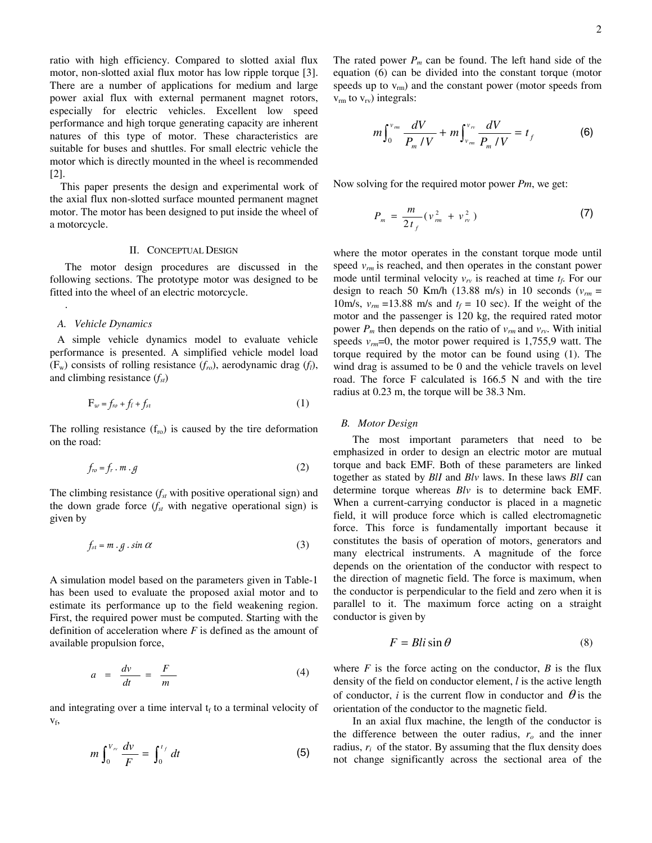ratio with high efficiency. Compared to slotted axial flux motor, non-slotted axial flux motor has low ripple torque [3]. There are a number of applications for medium and large power axial flux with external permanent magnet rotors, especially for electric vehicles. Excellent low speed performance and high torque generating capacity are inherent natures of this type of motor. These characteristics are suitable for buses and shuttles. For small electric vehicle the motor which is directly mounted in the wheel is recommended [2].

This paper presents the design and experimental work of the axial flux non-slotted surface mounted permanent magnet motor. The motor has been designed to put inside the wheel of a motorcycle.

# II. CONCEPTUAL DESIGN

The motor design procedures are discussed in the following sections. The prototype motor was designed to be fitted into the wheel of an electric motorcycle.

## *A. Vehicle Dynamics*

.

A simple vehicle dynamics model to evaluate vehicle performance is presented. A simplified vehicle model load  $(F_w)$  consists of rolling resistance  $(f_{ro})$ , aerodynamic drag  $(f_l)$ , and climbing resistance  $(f<sub>st</sub>)$ 

$$
F_w = f_{ro} + f_l + f_{st} \tag{1}
$$

The rolling resistance  $(f_{\text{ro}})$  is caused by the tire deformation on the road:

$$
f_{ro} = f_r \cdot m \cdot g \tag{2}
$$

The climbing resistance  $(f<sub>st</sub>$  with positive operational sign) and the down grade force  $(f<sub>st</sub>$  with negative operational sign) is given by

$$
f_{st} = m \cdot g \cdot \sin \alpha \tag{3}
$$

A simulation model based on the parameters given in Table-1 has been used to evaluate the proposed axial motor and to estimate its performance up to the field weakening region. First, the required power must be computed. Starting with the definition of acceleration where *F* is defined as the amount of available propulsion force,

$$
a = \frac{dv}{dt} = \frac{F}{m} \tag{4}
$$

and integrating over a time interval  $t_f$  to a terminal velocity of vf,

$$
m\int_0^{V_{rr}}\frac{dv}{F}=\int_0^{t_f}dt\tag{5}
$$

The rated power  $P_m$  can be found. The left hand side of the equation (6) can be divided into the constant torque (motor speeds up to  $v_{\rm rm}$ ) and the constant power (motor speeds from  $v_{\rm rm}$  to  $v_{\rm rv}$ ) integrals:

$$
m \int_0^{\nu_m} \frac{dV}{P_m / V} + m \int_{\nu_m}^{\nu_n} \frac{dV}{P_m / V} = t_f
$$
 (6)

Now solving for the required motor power *Pm*, we get:

$$
P_m = \frac{m}{2t_f} (v_m^2 + v_w^2)
$$
 (7)

where the motor operates in the constant torque mode until speed  $v_{rm}$  is reached, and then operates in the constant power mode until terminal velocity  $v_{rv}$  is reached at time  $t_f$ . For our design to reach 50 Km/h (13.88 m/s) in 10 seconds ( $v_{rm}$  = 10m/s,  $v_{rm}$  =13.88 m/s and  $t_f$  = 10 sec). If the weight of the motor and the passenger is 120 kg, the required rated motor power  $P_m$  then depends on the ratio of  $v_{rm}$  and  $v_{rv}$ . With initial speeds  $v_{rm}$ =0, the motor power required is 1,755,9 watt. The torque required by the motor can be found using (1). The wind drag is assumed to be 0 and the vehicle travels on level road. The force F calculated is 166.5 N and with the tire radius at 0.23 m, the torque will be 38.3 Nm.

### *B. Motor Design*

The most important parameters that need to be emphasized in order to design an electric motor are mutual torque and back EMF. Both of these parameters are linked together as stated by *BlI* and *Blv* laws. In these laws *BlI* can determine torque whereas *Blv* is to determine back EMF. When a current-carrying conductor is placed in a magnetic field, it will produce force which is called electromagnetic force. This force is fundamentally important because it constitutes the basis of operation of motors, generators and many electrical instruments. A magnitude of the force depends on the orientation of the conductor with respect to the direction of magnetic field. The force is maximum, when the conductor is perpendicular to the field and zero when it is parallel to it. The maximum force acting on a straight conductor is given by

$$
F = Bli\sin\theta\tag{8}
$$

where  $F$  is the force acting on the conductor,  $B$  is the flux density of the field on conductor element, *l* is the active length of conductor, *i* is the current flow in conductor and  $\theta$  is the orientation of the conductor to the magnetic field.

In an axial flux machine, the length of the conductor is the difference between the outer radius,  $r<sub>o</sub>$  and the inner radius,  $r_i$  of the stator. By assuming that the flux density does not change significantly across the sectional area of the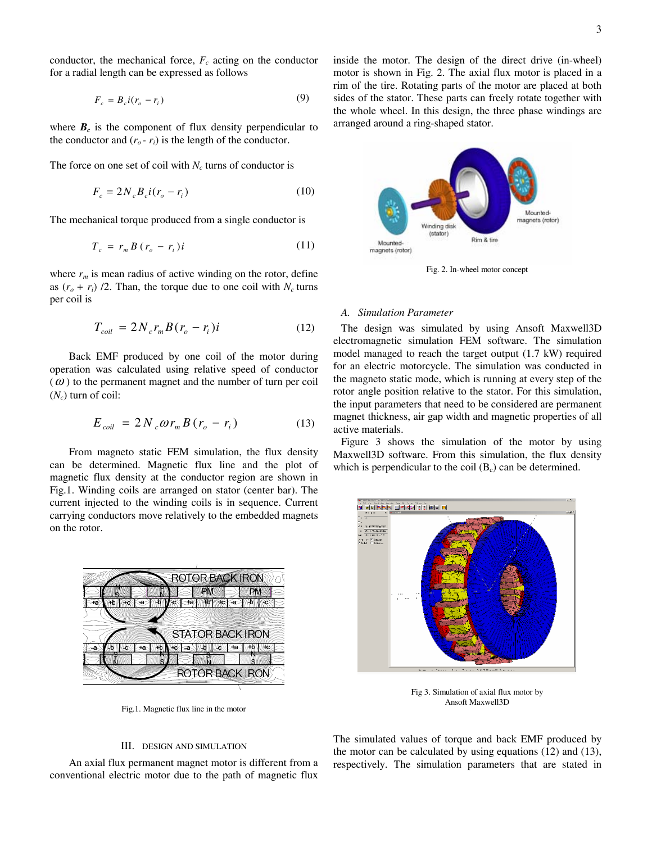conductor, the mechanical force,  $F_c$  acting on the conductor for a radial length can be expressed as follows

$$
F_c = B_c i (r_o - r_i) \tag{9}
$$

where  $B_c$  is the component of flux density perpendicular to the conductor and  $(r_o - r_i)$  is the length of the conductor.

The force on one set of coil with  $N_c$  turns of conductor is

$$
F_c = 2N_c B_c i (r_o - r_i)
$$
 (10)

The mechanical torque produced from a single conductor is

$$
T_c = r_m B (r_o - r_i) i \tag{11}
$$

where  $r_m$  is mean radius of active winding on the rotor, define as  $(r_o + r_i)$  /2. Than, the torque due to one coil with  $N_c$  turns per coil is

$$
T_{coil} = 2N_c r_m B(r_o - r_i)i
$$
 (12)

Back EMF produced by one coil of the motor during operation was calculated using relative speed of conductor  $(\omega)$  to the permanent magnet and the number of turn per coil  $(N_c)$  turn of coil:

$$
E_{coil} = 2 N_c \omega r_m B (r_o - r_i)
$$
 (13)

From magneto static FEM simulation, the flux density can be determined. Magnetic flux line and the plot of magnetic flux density at the conductor region are shown in Fig.1. Winding coils are arranged on stator (center bar). The current injected to the winding coils is in sequence. Current carrying conductors move relatively to the embedded magnets on the rotor.



Fig.1. Magnetic flux line in the motor

# III. DESIGN AND SIMULATION

Flux line in the motor<br>AND SIMULATION<br>magnet motor is different to the path of ma An axial flux permanent magnet motor is different from a conventional electric motor due to the path of magnetic flux

inside the motor. The design of the direct drive (in-wheel) motor is shown in Fig. 2. The axial flux motor is placed in a rim of the tire. Rotating parts of the motor are placed at both sides of the stator. These parts can freely rotate together with the whole wheel. In this design, the three phase windings are arranged around a ring-shaped stator.



Fig. 2. In-wheel motor concept

### *A. Simulation Parameter*

The design was simulated by using Ansoft Maxwell3D electromagnetic simulation FEM software. The simulation model managed to reach the target output (1.7 kW) required for an electric motorcycle. The simulation was conducted in the magneto static mode, which is running at every step of the rotor angle position relative to the stator. For this simulation, the input parameters that need to be considered are permanent magnet thickness, air gap width and magnetic properties of all active materials.

Figure 3 shows the simulation of the motor by using Maxwell3D software. From this simulation, the flux density which is perpendicular to the coil  $(B_c)$  can be determined.



Fig 3. Simulation of axial flux motor by Ansoft Maxwell3D

The simulated values of torque and back EMF produced by the motor can be calculated by using equations (12) and (13), respectively. The simulation parameters that are stated in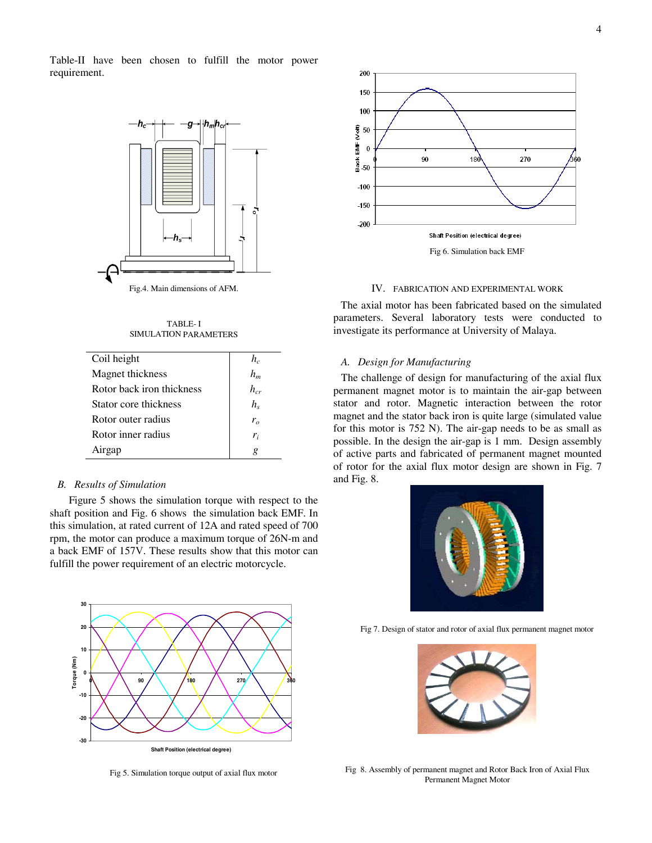Table-II have been chosen to fulfill the motor power requirement.



TABLE- I SIMULATION PARAMETERS

| Coil height               | $h_c$    |
|---------------------------|----------|
| Magnet thickness          | $h_m$    |
| Rotor back iron thickness | $h_{cr}$ |
| Stator core thickness     | $h_{s}$  |
| Rotor outer radius        | $r_{o}$  |
| Rotor inner radius        | $r_i$    |
| Airgap                    | g        |
|                           |          |

# *B. Results of Simulation*

Figure 5 shows the simulation torque with respect to the shaft position and Fig. 6 shows the simulation back EMF. In this simulation, at rated current of 12A and rated speed of 700 rpm, the motor can produce a maximum torque of 26N-m and a back EMF of 157V. These results show that this motor can fulfill the power requirement of an electric motorcycle.



Fig 5. Simulation torque output of axial flux motor



#### IV. FABRICATION AND EXPERIMENTAL WORK

The axial motor has been fabricated based on the simulated parameters. Several laboratory tests were conducted to investigate its performance at University of Malaya.

# *A. Design for Manufacturing*

The challenge of design for manufacturing of the axial flux permanent magnet motor is to maintain the air-gap between stator and rotor. Magnetic interaction between the rotor magnet and the stator back iron is quite large (simulated value for this motor is 752 N). The air-gap needs to be as small as possible. In the design the air-gap is 1 mm. Design assembly of active parts and fabricated of permanent magnet mounted of rotor for the axial flux motor design are shown in Fig. 7 and Fig. 8.



Fig 7. Design of stator and rotor of axial flux permanent magnet motor



Fig 8. Assembly of permanent magnet and Rotor Back Iron of Axial Flux Permanent Magnet Motor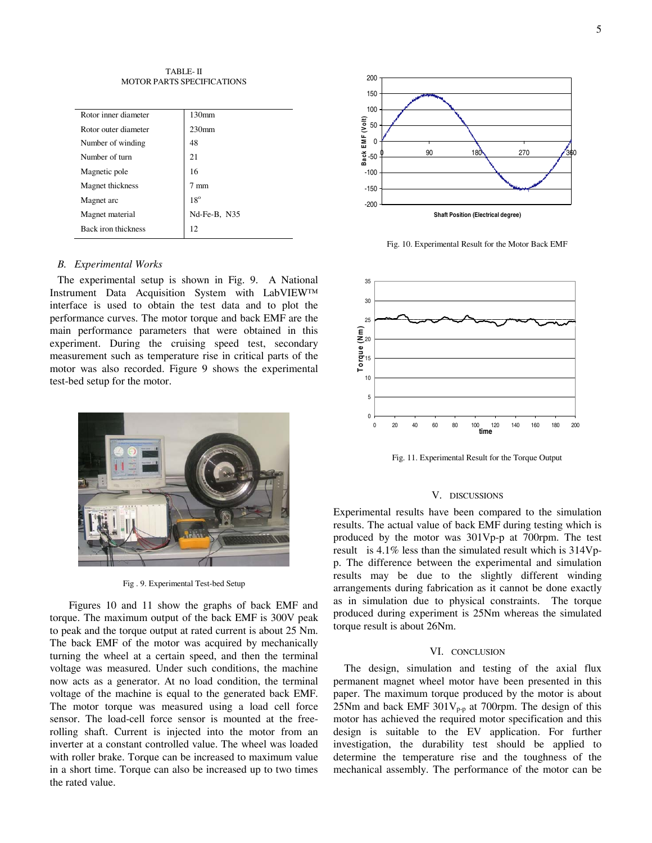TABLE- II MOTOR PARTS SPECIFICATIONS

| Rotor inner diameter | 130 <sub>mm</sub> |
|----------------------|-------------------|
| Rotor outer diameter | 230 <sub>mm</sub> |
| Number of winding    | 48                |
| Number of turn       | 21                |
| Magnetic pole        | 16                |
| Magnet thickness     | 7 mm              |
| Magnet arc           | $18^{\circ}$      |
| Magnet material      | Nd-Fe-B, N35      |
| Back iron thickness  | 12                |
|                      |                   |

# *B. Experimental Works*

The experimental setup is shown in Fig. 9. A National Instrument Data Acquisition System with LabVIEW™ interface is used to obtain the test data and to plot the performance curves. The motor torque and back EMF are the main performance parameters that were obtained in this experiment. During the cruising speed test, secondary measurement such as temperature rise in critical parts of the motor was also recorded. Figure 9 shows the experimental test-bed setup for the motor.



Fig . 9. Experimental Test-bed Setup

Figures 10 and 11 show the graphs of back EMF and torque. The maximum output of the back EMF is 300V peak to peak and the torque output at rated current is about 25 Nm. The back EMF of the motor was acquired by mechanically turning the wheel at a certain speed, and then the terminal voltage was measured. Under such conditions, the machine now acts as a generator. At no load condition, the terminal voltage of the machine is equal to the generated back EMF. The motor torque was measured using a load cell force sensor. The load-cell force sensor is mounted at the freerolling shaft. Current is injected into the motor from an inverter at a constant controlled value. The wheel was loaded with roller brake. Torque can be increased to maximum value in a short time. Torque can also be increased up to two times the rated value.



Fig. 10. Experimental Result for the Motor Back EMF



Fig. 11. Experimental Result for the Torque Output

#### V. DISCUSSIONS

Experimental results have been compared to the simulation results. The actual value of back EMF during testing which is produced by the motor was 301Vp-p at 700rpm. The test result is 4.1% less than the simulated result which is 314Vpp. The difference between the experimental and simulation results may be due to the slightly different winding arrangements during fabrication as it cannot be done exactly as in simulation due to physical constraints. The torque produced during experiment is 25Nm whereas the simulated torque result is about 26Nm.

#### VI. CONCLUSION

The design, simulation and testing of the axial flux permanent magnet wheel motor have been presented in this paper. The maximum torque produced by the motor is about 25Nm and back EMF 301 $V_{p-p}$  at 700rpm. The design of this motor has achieved the required motor specification and this design is suitable to the EV application. For further investigation, the durability test should be applied to determine the temperature rise and the toughness of the mechanical assembly. The performance of the motor can be